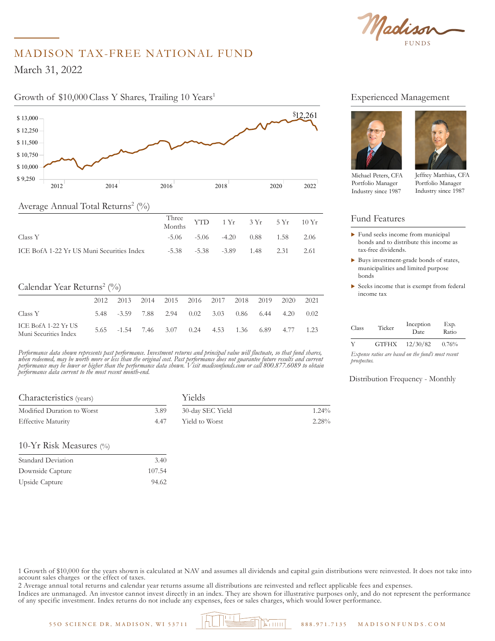Madison

# MADISON TAX-FREE NATIONAL FUND

March 31, 2022

\$ 12,250

## Growth of \$10,000 Class Y Shares, Trailing 10 Years<sup>1</sup>



|                                           | Three YTD 1 Yr 3 Yr 5 Yr 10 Yr<br>Months |                                              |  |  |
|-------------------------------------------|------------------------------------------|----------------------------------------------|--|--|
| Class Y                                   |                                          | $-5.06$ $-5.06$ $-4.20$ $0.88$ $1.58$ $2.06$ |  |  |
| ICE BofA 1-22 Yr US Muni Securities Index |                                          | $-5.38$ $-5.38$ $-3.89$ $1.48$ $2.31$ $2.61$ |  |  |

## Calendar Year Returns<sup>2</sup> (%)

|                                              | 2012. |  | 2013 2014 2015 2016 2017 2018 2019                 |  |  | 2020 | 2021 |
|----------------------------------------------|-------|--|----------------------------------------------------|--|--|------|------|
| Class Y                                      |       |  | 5.48 -3.59 7.88 2.94 0.02 3.03 0.86 6.44 4.20 0.02 |  |  |      |      |
| ICE BofA 1-22 Yr US<br>Muni Securities Index |       |  | 5.65 -1.54 7.46 3.07 0.24 4.53 1.36 6.89 4.77      |  |  |      | 1.23 |

*Performance data shown represents past performance. Investment returns and principal value will fluctuate, so that fund shares, when redeemed, may be worth more or less than the original cost. Past performance does not guarantee future results and current performance may be lower or higher than the performance data shown. Visit madisonfunds.com or call 800.877.6089 to obtain performance data current to the most recent month-end.*

| Characteristics (years)    |      | Yields           |          |  |  |
|----------------------------|------|------------------|----------|--|--|
| Modified Duration to Worst | 3.89 | 30-day SEC Yield | $1.24\%$ |  |  |
| <b>Effective Maturity</b>  | 447  | Yield to Worst   | $2.28\%$ |  |  |

#### 10-Yr Risk Measures (%)

| Standard Deviation | 3.40   |
|--------------------|--------|
| Downside Capture   | 107.54 |
| Upside Capture     | 94.62  |

#### Experienced Management



Michael Peters, CFA Portfolio Manager Industry since 1987

Jeffrey Matthias, CFA Portfolio Manager

Industry since 1987

Fund Features

- $\blacktriangleright$  Fund seeks income from municipal bonds and to distribute this income as tax-free dividends.
- $\blacktriangleright$  Buys investment-grade bonds of states, municipalities and limited purpose bonds
- $\triangleright$  Seeks income that is exempt from federal income tax

| Class | Ticker       | Inception<br>Date. | Exp.<br>Ratio |
|-------|--------------|--------------------|---------------|
| v     | <b>GTFHX</b> | 12/30/82           | 0.76%         |

*Expense ratios are based on the fund's most recent prospectus.* 

#### Distribution Frequency - Monthly

1 Growth of \$10,000 for the years shown is calculated at NAV and assumes all dividends and capital gain distributions were reinvested. It does not take into account sales charges or the effect of taxes.

2 Average annual total returns and calendar year returns assume all distributions are reinvested and reflect applicable fees and expenses.

Indices are unmanaged. An investor cannot invest directly in an index. They are shown for illustrative purposes only, and do not represent the performance of any specific investment. Index returns do not include any expenses, fees or sales charges, which would lower performance.